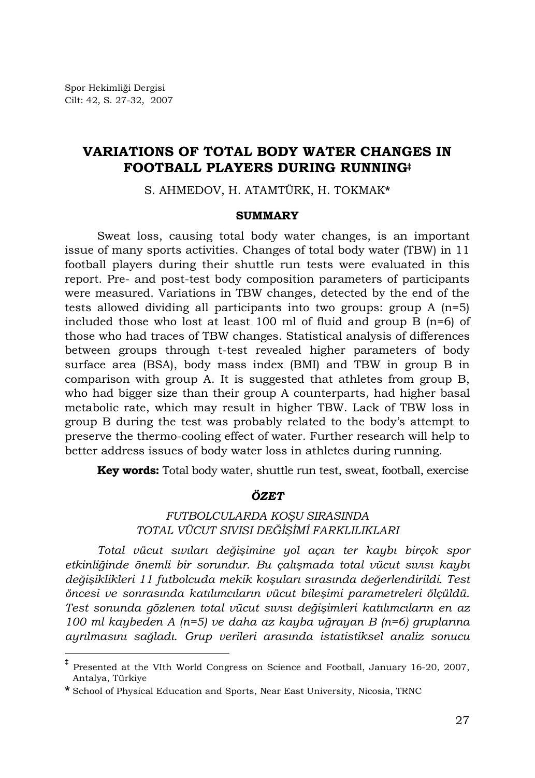l

# **VARIATIONS OF TOTAL BODY WATER CHANGES IN FOOTBALL PLAYERS DURING RUNNING‡**

S. AHMEDOV, H. ATAMTÜRK, H. TOKMAK**\***

## **SUMMARY**

Sweat loss, causing total body water changes, is an important issue of many sports activities. Changes of total body water (TBW) in 11 football players during their shuttle run tests were evaluated in this report. Pre- and post-test body composition parameters of participants were measured. Variations in TBW changes, detected by the end of the tests allowed dividing all participants into two groups: group A (n=5) included those who lost at least 100 ml of fluid and group B  $(n=6)$  of those who had traces of TBW changes. Statistical analysis of differences between groups through t-test revealed higher parameters of body surface area (BSA), body mass index (BMI) and TBW in group B in comparison with group A. It is suggested that athletes from group B, who had bigger size than their group A counterparts, had higher basal metabolic rate, which may result in higher TBW. Lack of TBW loss in group B during the test was probably related to the body's attempt to preserve the thermo-cooling effect of water. Further research will help to better address issues of body water loss in athletes during running.

**Key words:** Total body water, shuttle run test, sweat, football, exercise

## *ÖZET*

## *FUTBOLCULARDA KOŞU SIRASINDA TOTAL VÜCUT SIVISI DEĞİŞİMİ FARKLILIKLARI*

*Total vücut sıvıları değişimine yol açan ter kaybı birçok spor etkinliğinde önemli bir sorundur. Bu çalışmada total vücut sıvısı kaybı değişiklikleri 11 futbolcuda mekik koşuları sırasında değerlendirildi. Test öncesi ve sonrasında katılımcıların vücut bileşimi parametreleri ölçüldü. Test sonunda gözlenen total vücut sıvısı değişimleri katılımcıların en az 100 ml kaybeden A (n=5) ve daha az kayba uğrayan B (n=6) gruplarına ayrılmasını sağladı. Grup verileri arasında istatistiksel analiz sonucu* 

**<sup>‡</sup>** Presented at the VIth World Congress on Science and Football, January 16-20, 2007, Antalya, Türkiye

**<sup>\*</sup>** School of Physical Education and Sports, Near East University, Nicosia, TRNC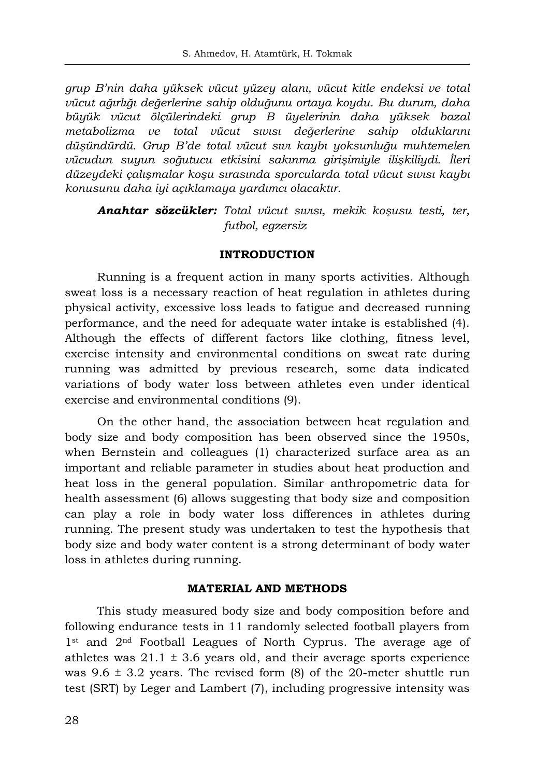*grup B'nin daha yüksek vücut yüzey alanı, vücut kitle endeksi ve total vücut ağırlığı değerlerine sahip olduğunu ortaya koydu. Bu durum, daha büyük vücut ölçülerindeki grup B üyelerinin daha yüksek bazal metabolizma ve total vücut sıvısı değerlerine sahip olduklarını düşündürdü. Grup B'de total vücut sıvı kaybı yoksunluğu muhtemelen vücudun suyun soğutucu etkisini sakınma girişimiyle ilişkiliydi. İleri düzeydeki çalışmalar koşu sırasında sporcularda total vücut sıvısı kaybı konusunu daha iyi açıklamaya yardımcı olacaktır.* 

*Anahtar sözcükler: Total vücut sıvısı, mekik koşusu testi, ter, futbol, egzersiz* 

## **INTRODUCTION**

Running is a frequent action in many sports activities. Although sweat loss is a necessary reaction of heat regulation in athletes during physical activity, excessive loss leads to fatigue and decreased running performance, and the need for adequate water intake is established (4). Although the effects of different factors like clothing, fitness level, exercise intensity and environmental conditions on sweat rate during running was admitted by previous research, some data indicated variations of body water loss between athletes even under identical exercise and environmental conditions (9).

On the other hand, the association between heat regulation and body size and body composition has been observed since the 1950s, when Bernstein and colleagues (1) characterized surface area as an important and reliable parameter in studies about heat production and heat loss in the general population. Similar anthropometric data for health assessment (6) allows suggesting that body size and composition can play a role in body water loss differences in athletes during running. The present study was undertaken to test the hypothesis that body size and body water content is a strong determinant of body water loss in athletes during running.

### **MATERIAL AND METHODS**

This study measured body size and body composition before and following endurance tests in 11 randomly selected football players from 1<sup>st</sup> and 2<sup>nd</sup> Football Leagues of North Cyprus. The average age of athletes was  $21.1 \pm 3.6$  years old, and their average sports experience was  $9.6 \pm 3.2$  years. The revised form (8) of the 20-meter shuttle run test (SRT) by Leger and Lambert (7), including progressive intensity was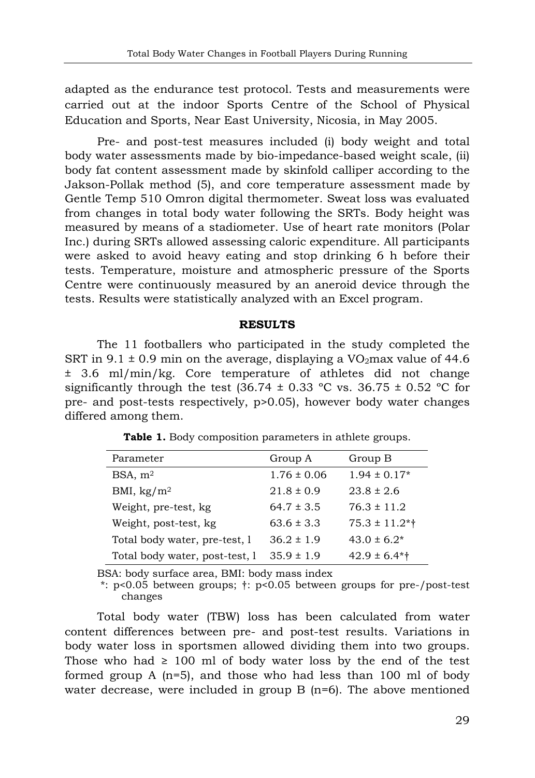adapted as the endurance test protocol. Tests and measurements were carried out at the indoor Sports Centre of the School of Physical Education and Sports, Near East University, Nicosia, in May 2005.

Pre- and post-test measures included (i) body weight and total body water assessments made by bio-impedance-based weight scale, (ii) body fat content assessment made by skinfold calliper according to the Jakson-Pollak method (5), and core temperature assessment made by Gentle Temp 510 Omron digital thermometer. Sweat loss was evaluated from changes in total body water following the SRTs. Body height was measured by means of a stadiometer. Use of heart rate monitors (Polar Inc.) during SRTs allowed assessing caloric expenditure. All participants were asked to avoid heavy eating and stop drinking 6 h before their tests. Temperature, moisture and atmospheric pressure of the Sports Centre were continuously measured by an aneroid device through the tests. Results were statistically analyzed with an Excel program.

#### **RESULTS**

The 11 footballers who participated in the study completed the SRT in 9.1  $\pm$  0.9 min on the average, displaying a VO<sub>2</sub>max value of 44.6 ± 3.6 ml/min/kg. Core temperature of athletes did not change significantly through the test (36.74  $\pm$  0.33 °C vs. 36.75  $\pm$  0.52 °C for pre- and post-tests respectively, p>0.05), however body water changes differed among them.

| Parameter                      | Group A         | Group B            |
|--------------------------------|-----------------|--------------------|
| BSA, m <sup>2</sup>            | $1.76 \pm 0.06$ | $1.94 \pm 0.17*$   |
| BMI, $\text{kg}/\text{m}^2$    | $21.8 \pm 0.9$  | $23.8 \pm 2.6$     |
| Weight, pre-test, kg           | $64.7 \pm 3.5$  | $76.3 \pm 11.2$    |
| Weight, post-test, kg          | $63.6 \pm 3.3$  | $75.3 \pm 11.2$ *† |
| Total body water, pre-test, 1  | $36.2 \pm 1.9$  | $43.0 \pm 6.2^*$   |
| Total body water, post-test, 1 | $35.9 \pm 1.9$  | $42.9 \pm 6.4$ *†  |

**Table 1.** Body composition parameters in athlete groups.

BSA: body surface area, BMI: body mass index

 \*: p<0.05 between groups; †: p<0.05 between groups for pre-/post-test changes

Total body water (TBW) loss has been calculated from water content differences between pre- and post-test results. Variations in body water loss in sportsmen allowed dividing them into two groups. Those who had  $\geq 100$  ml of body water loss by the end of the test formed group A  $(n=5)$ , and those who had less than 100 ml of body water decrease, were included in group B (n=6). The above mentioned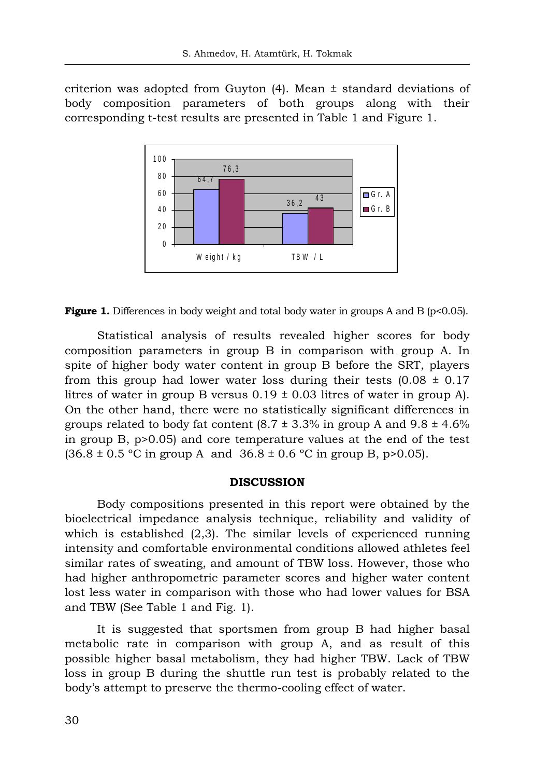criterion was adopted from Guyton  $(4)$ . Mean  $\pm$  standard deviations of body composition parameters of both groups along with their corresponding t-test results are presented in Table 1 and Figure 1.



**Figure 1.** Differences in body weight and total body water in groups A and B ( $p<0.05$ ).

Statistical analysis of results revealed higher scores for body composition parameters in group B in comparison with group A. In spite of higher body water content in group B before the SRT, players from this group had lower water loss during their tests  $(0.08 \pm 0.17)$ litres of water in group B versus  $0.19 \pm 0.03$  litres of water in group A). On the other hand, there were no statistically significant differences in groups related to body fat content  $(8.7 \pm 3.3\%)$  in group A and  $9.8 \pm 4.6\%$ in group B, p>0.05) and core temperature values at the end of the test  $(36.8 \pm 0.5 \degree C \text{ in group A and } 36.8 \pm 0.6 \degree C \text{ in group B, p>0.05}).$ 

#### **DISCUSSION**

Body compositions presented in this report were obtained by the bioelectrical impedance analysis technique, reliability and validity of which is established  $(2,3)$ . The similar levels of experienced running intensity and comfortable environmental conditions allowed athletes feel similar rates of sweating, and amount of TBW loss. However, those who had higher anthropometric parameter scores and higher water content lost less water in comparison with those who had lower values for BSA and TBW (See Table 1 and Fig. 1).

It is suggested that sportsmen from group B had higher basal metabolic rate in comparison with group A, and as result of this possible higher basal metabolism, they had higher TBW. Lack of TBW loss in group B during the shuttle run test is probably related to the body's attempt to preserve the thermo-cooling effect of water.